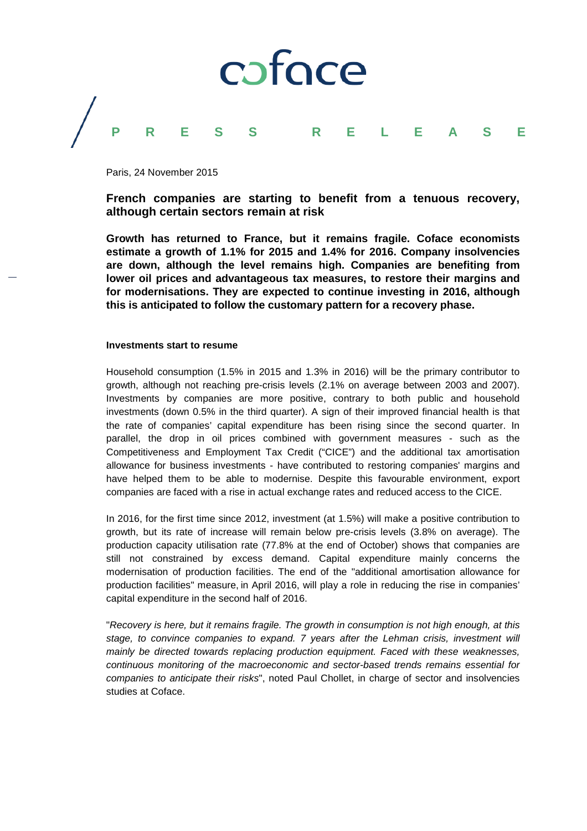

Paris, 24 November 2015

**French companies are starting to benefit from a tenuous recovery, although certain sectors remain at risk**

**Growth has returned to France, but it remains fragile. Coface economists estimate a growth of 1.1% for 2015 and 1.4% for 2016. Company insolvencies are down, although the level remains high. Companies are benefiting from lower oil prices and advantageous tax measures, to restore their margins and for modernisations. They are expected to continue investing in 2016, although this is anticipated to follow the customary pattern for a recovery phase.**

## **Investments start to resume**

Household consumption (1.5% in 2015 and 1.3% in 2016) will be the primary contributor to growth, although not reaching pre-crisis levels (2.1% on average between 2003 and 2007). Investments by companies are more positive, contrary to both public and household investments (down 0.5% in the third quarter). A sign of their improved financial health is that the rate of companies' capital expenditure has been rising since the second quarter. In parallel, the drop in oil prices combined with government measures - such as the Competitiveness and Employment Tax Credit ("CICE") and the additional tax amortisation allowance for business investments - have contributed to restoring companies' margins and have helped them to be able to modernise. Despite this favourable environment, export companies are faced with a rise in actual exchange rates and reduced access to the CICE.

In 2016, for the first time since 2012, investment (at 1.5%) will make a positive contribution to growth, but its rate of increase will remain below pre-crisis levels (3.8% on average). The production capacity utilisation rate (77.8% at the end of October) shows that companies are still not constrained by excess demand. Capital expenditure mainly concerns the modernisation of production facilities. The end of the "additional amortisation allowance for production facilities" measure, in April 2016, will play a role in reducing the rise in companies' capital expenditure in the second half of 2016.

"*Recovery is here, but it remains fragile. The growth in consumption is not high enough, at this stage, to convince companies to expand. 7 years after the Lehman crisis, investment will mainly be directed towards replacing production equipment. Faced with these weaknesses, continuous monitoring of the macroeconomic and sector-based trends remains essential for companies to anticipate their risks*", noted Paul Chollet, in charge of sector and insolvencies studies at Coface.